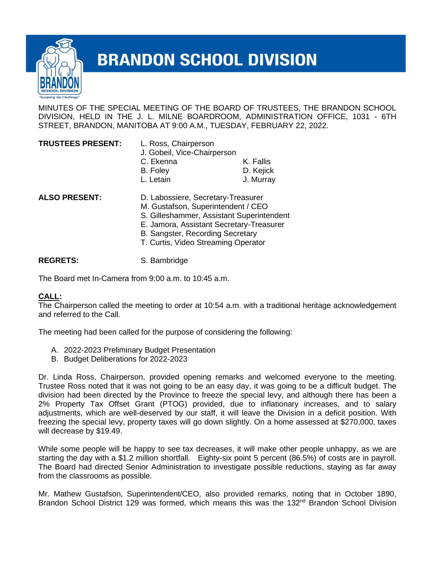

## **BRANDON SCHOOL DIVISION**

MINUTES OF THE SPECIAL MEETING OF THE BOARD OF TRUSTEES, THE BRANDON SCHOOL DIVISION, HELD IN THE J. L. MILNE BOARDROOM, ADMINISTRATION OFFICE, 1031 - 6TH STREET, BRANDON, MANITOBA AT 9:00 A.M., TUESDAY, FEBRUARY 22, 2022.

| <b>TRUSTEES PRESENT:</b> | L. Ross, Chairperson<br>J. Gobeil, Vice-Chairperson                                                                                                                                                                                          |           |
|--------------------------|----------------------------------------------------------------------------------------------------------------------------------------------------------------------------------------------------------------------------------------------|-----------|
|                          | C. Ekenna                                                                                                                                                                                                                                    | K. Fallis |
|                          | B. Foley                                                                                                                                                                                                                                     | D. Kejick |
|                          | L. Letain                                                                                                                                                                                                                                    | J. Murray |
| <b>ALSO PRESENT:</b>     | D. Labossiere, Secretary-Treasurer<br>M. Gustafson, Superintendent / CEO<br>S. Gilleshammer, Assistant Superintendent<br>E. Jamora, Assistant Secretary-Treasurer<br>B. Sangster, Recording Secretary<br>T. Curtis, Video Streaming Operator |           |

**REGRETS:** S. Bambridge

The Board met In-Camera from 9:00 a.m. to 10:45 a.m.

## **CALL:**

The Chairperson called the meeting to order at 10:54 a.m. with a traditional heritage acknowledgement and referred to the Call.

The meeting had been called for the purpose of considering the following:

- A. 2022-2023 Preliminary Budget Presentation
- B. Budget Deliberations for 2022-2023

Dr. Linda Ross, Chairperson, provided opening remarks and welcomed everyone to the meeting. Trustee Ross noted that it was not going to be an easy day, it was going to be a difficult budget. The division had been directed by the Province to freeze the special levy, and although there has been a 2% Property Tax Offset Grant (PTOG) provided, due to inflationary increases, and to salary adjustments, which are well-deserved by our staff, it will leave the Division in a deficit position. With freezing the special levy, property taxes will go down slightly. On a home assessed at \$270,000, taxes will decrease by \$19.49.

While some people will be happy to see tax decreases, it will make other people unhappy, as we are starting the day with a \$1.2 million shortfall. Eighty-six point 5 percent (86.5%) of costs are in payroll. The Board had directed Senior Administration to investigate possible reductions, staying as far away from the classrooms as possible.

Mr. Mathew Gustafson, Superintendent/CEO, also provided remarks, noting that in October 1890, Brandon School District 129 was formed, which means this was the 132 $<sup>nd</sup>$  Brandon School Division</sup>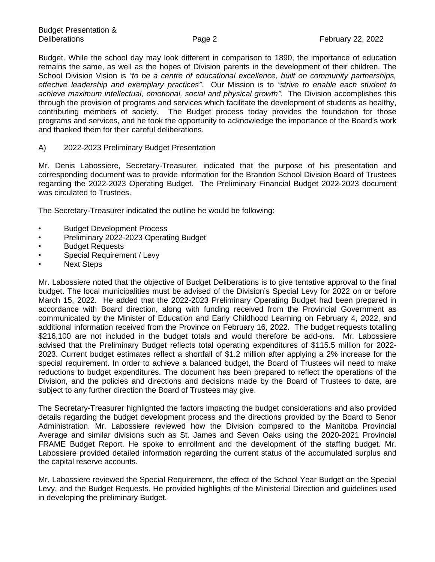Budget. While the school day may look different in comparison to 1890, the importance of education remains the same, as well as the hopes of Division parents in the development of their children. The School Division Vision is *"to be a centre of educational excellence, built on community partnerships, effective leadership and exemplary practices".* Our Mission is to *"strive to enable each student to*  achieve maximum intellectual, emotional, social and physical growth". The Division accomplishes this through the provision of programs and services which facilitate the development of students as healthy, contributing members of society. The Budget process today provides the foundation for those programs and services, and he took the opportunity to acknowledge the importance of the Board's work and thanked them for their careful deliberations.

## A) 2022-2023 Preliminary Budget Presentation

Mr. Denis Labossiere, Secretary-Treasurer, indicated that the purpose of his presentation and corresponding document was to provide information for the Brandon School Division Board of Trustees regarding the 2022-2023 Operating Budget. The Preliminary Financial Budget 2022-2023 document was circulated to Trustees.

The Secretary-Treasurer indicated the outline he would be following:

- Budget Development Process
- Preliminary 2022-2023 Operating Budget
- **Budget Requests**
- Special Requirement / Levy
- Next Steps

Mr. Labossiere noted that the objective of Budget Deliberations is to give tentative approval to the final budget. The local municipalities must be advised of the Division's Special Levy for 2022 on or before March 15, 2022. He added that the 2022-2023 Preliminary Operating Budget had been prepared in accordance with Board direction, along with funding received from the Provincial Government as communicated by the Minister of Education and Early Childhood Learning on February 4, 2022, and additional information received from the Province on February 16, 2022. The budget requests totalling \$216,100 are not included in the budget totals and would therefore be add-ons. Mr. Labossiere advised that the Preliminary Budget reflects total operating expenditures of \$115.5 million for 2022- 2023. Current budget estimates reflect a shortfall of \$1.2 million after applying a 2% increase for the special requirement. In order to achieve a balanced budget, the Board of Trustees will need to make reductions to budget expenditures. The document has been prepared to reflect the operations of the Division, and the policies and directions and decisions made by the Board of Trustees to date, are subject to any further direction the Board of Trustees may give.

The Secretary-Treasurer highlighted the factors impacting the budget considerations and also provided details regarding the budget development process and the directions provided by the Board to Senor Administration. Mr. Labossiere reviewed how the Division compared to the Manitoba Provincial Average and similar divisions such as St. James and Seven Oaks using the 2020-2021 Provincial FRAME Budget Report. He spoke to enrollment and the development of the staffing budget. Mr. Labossiere provided detailed information regarding the current status of the accumulated surplus and the capital reserve accounts.

Mr. Labossiere reviewed the Special Requirement, the effect of the School Year Budget on the Special Levy, and the Budget Requests. He provided highlights of the Ministerial Direction and guidelines used in developing the preliminary Budget.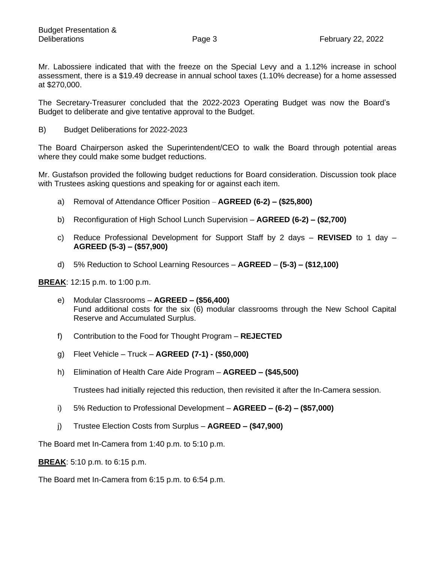Mr. Labossiere indicated that with the freeze on the Special Levy and a 1.12% increase in school assessment, there is a \$19.49 decrease in annual school taxes (1.10% decrease) for a home assessed at \$270,000.

The Secretary-Treasurer concluded that the 2022-2023 Operating Budget was now the Board's Budget to deliberate and give tentative approval to the Budget.

B) Budget Deliberations for 2022-2023

The Board Chairperson asked the Superintendent/CEO to walk the Board through potential areas where they could make some budget reductions.

Mr. Gustafson provided the following budget reductions for Board consideration. Discussion took place with Trustees asking questions and speaking for or against each item.

- a) Removal of Attendance Officer Position **AGREED (6-2) – (\$25,800)**
- b) Reconfiguration of High School Lunch Supervision **AGREED (6-2) – (\$2,700)**
- c) Reduce Professional Development for Support Staff by 2 days **REVISED** to 1 day **AGREED (5-3) – (\$57,900)**
- d) 5% Reduction to School Learning Resources **AGREED (5-3) – (\$12,100)**

**BREAK**: 12:15 p.m. to 1:00 p.m.

- e) Modular Classrooms **AGREED – (\$56,400)** Fund additional costs for the six (6) modular classrooms through the New School Capital Reserve and Accumulated Surplus.
- f) Contribution to the Food for Thought Program **REJECTED**
- g) Fleet Vehicle Truck **AGREED (7-1) - (\$50,000)**
- h) Elimination of Health Care Aide Program **AGREED – (\$45,500)**

Trustees had initially rejected this reduction, then revisited it after the In-Camera session.

- i) 5% Reduction to Professional Development **AGREED – (6-2) – (\$57,000)**
- j) Trustee Election Costs from Surplus **AGREED – (\$47,900)**

The Board met In-Camera from 1:40 p.m. to 5:10 p.m.

**BREAK**: 5:10 p.m. to 6:15 p.m.

The Board met In-Camera from 6:15 p.m. to 6:54 p.m.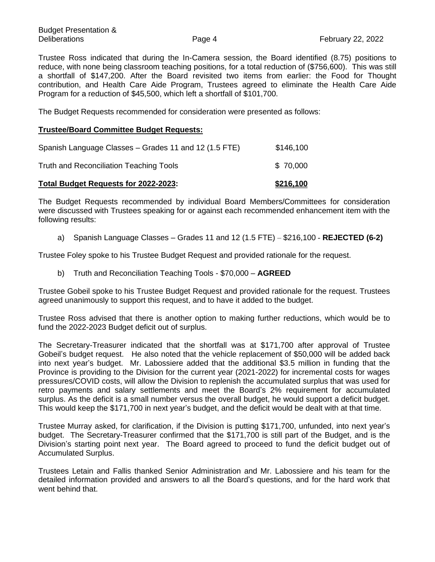Trustee Ross indicated that during the In-Camera session, the Board identified (8.75) positions to reduce, with none being classroom teaching positions, for a total reduction of (\$756,600). This was still a shortfall of \$147,200. After the Board revisited two items from earlier: the Food for Thought contribution, and Health Care Aide Program, Trustees agreed to eliminate the Health Care Aide Program for a reduction of \$45,500, which left a shortfall of \$101,700.

The Budget Requests recommended for consideration were presented as follows:

## **Trustee/Board Committee Budget Requests:**

| Total Budget Requests for 2022-2023:                  | \$216,100 |
|-------------------------------------------------------|-----------|
| Truth and Reconciliation Teaching Tools               | \$70,000  |
| Spanish Language Classes – Grades 11 and 12 (1.5 FTE) | \$146,100 |

The Budget Requests recommended by individual Board Members/Committees for consideration were discussed with Trustees speaking for or against each recommended enhancement item with the following results:

a) Spanish Language Classes – Grades 11 and 12 (1.5 FTE) – \$216,100 - **REJECTED (6-2)**

Trustee Foley spoke to his Trustee Budget Request and provided rationale for the request.

b) Truth and Reconciliation Teaching Tools - \$70,000 – **AGREED** 

Trustee Gobeil spoke to his Trustee Budget Request and provided rationale for the request. Trustees agreed unanimously to support this request, and to have it added to the budget.

Trustee Ross advised that there is another option to making further reductions, which would be to fund the 2022-2023 Budget deficit out of surplus.

The Secretary-Treasurer indicated that the shortfall was at \$171,700 after approval of Trustee Gobeil's budget request. He also noted that the vehicle replacement of \$50,000 will be added back into next year's budget. Mr. Labossiere added that the additional \$3.5 million in funding that the Province is providing to the Division for the current year (2021-2022) for incremental costs for wages pressures/COVID costs, will allow the Division to replenish the accumulated surplus that was used for retro payments and salary settlements and meet the Board's 2% requirement for accumulated surplus. As the deficit is a small number versus the overall budget, he would support a deficit budget. This would keep the \$171,700 in next year's budget, and the deficit would be dealt with at that time.

Trustee Murray asked, for clarification, if the Division is putting \$171,700, unfunded, into next year's budget. The Secretary-Treasurer confirmed that the \$171,700 is still part of the Budget, and is the Division's starting point next year. The Board agreed to proceed to fund the deficit budget out of Accumulated Surplus.

Trustees Letain and Fallis thanked Senior Administration and Mr. Labossiere and his team for the detailed information provided and answers to all the Board's questions, and for the hard work that went behind that.